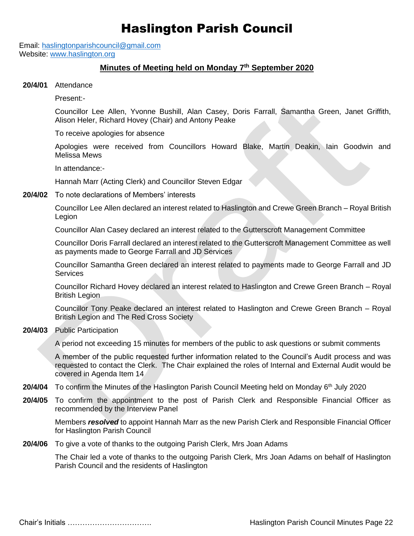## Haslington Parish Council

Email: [haslingtonparishcouncil@gmail.com](mailto:haslingtonparishcouncil@gmail.com) Website: [www.haslington.org](http://www.haslington.org/)

## **Minutes of Meeting held on Monday 7th September 2020**

**20/4/01** Attendance

Present:-

Councillor Lee Allen, Yvonne Bushill, Alan Casey, Doris Farrall, Samantha Green, Janet Griffith, Alison Heler, Richard Hovey (Chair) and Antony Peake

To receive apologies for absence

Apologies were received from Councillors Howard Blake, Martin Deakin, Iain Goodwin and Melissa Mews

In attendance:-

Hannah Marr (Acting Clerk) and Councillor Steven Edgar

**20/4/02** To note declarations of Members' interests

Councillor Lee Allen declared an interest related to Haslington and Crewe Green Branch – Royal British Legion

Councillor Alan Casey declared an interest related to the Gutterscroft Management Committee

Councillor Doris Farrall declared an interest related to the Gutterscroft Management Committee as well as payments made to George Farrall and JD Services

Councillor Samantha Green declared an interest related to payments made to George Farrall and JD Services

Councillor Richard Hovey declared an interest related to Haslington and Crewe Green Branch – Royal British Legion

Councillor Tony Peake declared an interest related to Haslington and Crewe Green Branch – Royal British Legion and The Red Cross Society

**20/4/03** Public Participation

A period not exceeding 15 minutes for members of the public to ask questions or submit comments

A member of the public requested further information related to the Council's Audit process and was requested to contact the Clerk. The Chair explained the roles of Internal and External Audit would be covered in Agenda Item 14

- **20/4/04** To confirm the Minutes of the Haslington Parish Council Meeting held on Monday 6<sup>th</sup> July 2020
- **20/4/05** To confirm the appointment to the post of Parish Clerk and Responsible Financial Officer as recommended by the Interview Panel

Members *resolved* to appoint Hannah Marr as the new Parish Clerk and Responsible Financial Officer for Haslington Parish Council

**20/4/06** To give a vote of thanks to the outgoing Parish Clerk, Mrs Joan Adams

The Chair led a vote of thanks to the outgoing Parish Clerk, Mrs Joan Adams on behalf of Haslington Parish Council and the residents of Haslington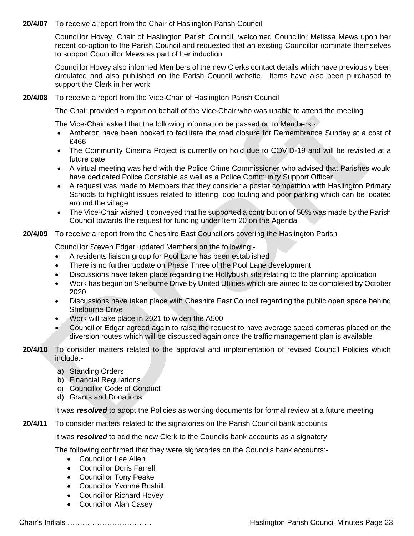**20/4/07** To receive a report from the Chair of Haslington Parish Council

Councillor Hovey, Chair of Haslington Parish Council, welcomed Councillor Melissa Mews upon her recent co-option to the Parish Council and requested that an existing Councillor nominate themselves to support Councillor Mews as part of her induction

Councillor Hovey also informed Members of the new Clerks contact details which have previously been circulated and also published on the Parish Council website. Items have also been purchased to support the Clerk in her work

**20/4/08** To receive a report from the Vice-Chair of Haslington Parish Council

The Chair provided a report on behalf of the Vice-Chair who was unable to attend the meeting

The Vice-Chair asked that the following information be passed on to Members:-

- Amberon have been booked to facilitate the road closure for Remembrance Sunday at a cost of £466
- The Community Cinema Project is currently on hold due to COVID-19 and will be revisited at a future date
- A virtual meeting was held with the Police Crime Commissioner who advised that Parishes would have dedicated Police Constable as well as a Police Community Support Officer
- A request was made to Members that they consider a poster competition with Haslington Primary Schools to highlight issues related to littering, dog fouling and poor parking which can be located around the village
- The Vice-Chair wished it conveyed that he supported a contribution of 50% was made by the Parish Council towards the request for funding under Item 20 on the Agenda
- **20/4/09** To receive a report from the Cheshire East Councillors covering the Haslington Parish

Councillor Steven Edgar updated Members on the following:-

- A residents liaison group for Pool Lane has been established
- There is no further update on Phase Three of the Pool Lane development
- Discussions have taken place regarding the Hollybush site relating to the planning application
- Work has begun on Shelburne Drive by United Utilities which are aimed to be completed by October 2020
- Discussions have taken place with Cheshire East Council regarding the public open space behind Shelburne Drive
- Work will take place in 2021 to widen the A500
- Councillor Edgar agreed again to raise the request to have average speed cameras placed on the diversion routes which will be discussed again once the traffic management plan is available
- **20/4/10** To consider matters related to the approval and implementation of revised Council Policies which include:
	- a) Standing Orders
	- b) Financial Regulations
	- c) Councillor Code of Conduct
	- d) Grants and Donations

It was *resolved* to adopt the Policies as working documents for formal review at a future meeting

**20/4/11** To consider matters related to the signatories on the Parish Council bank accounts

It was *resolved* to add the new Clerk to the Councils bank accounts as a signatory

The following confirmed that they were signatories on the Councils bank accounts:-

- Councillor Lee Allen
- Councillor Doris Farrell
- Councillor Tony Peake
- Councillor Yvonne Bushill
- Councillor Richard Hovey
- Councillor Alan Casey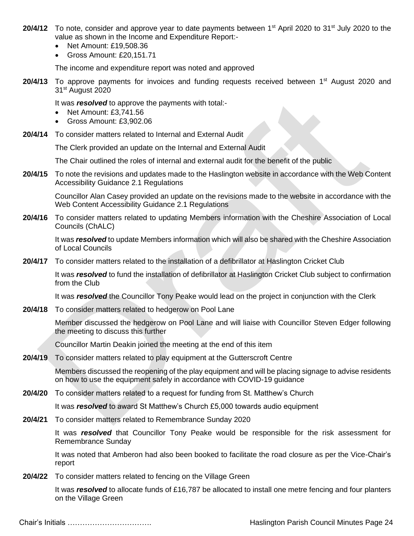- **20/4/12** To note, consider and approve year to date payments between 1<sup>st</sup> April 2020 to 31<sup>st</sup> July 2020 to the value as shown in the Income and Expenditure Report:-
	- Net Amount: £19,508.36
	- Gross Amount: £20,151.71

The income and expenditure report was noted and approved

**20/4/13** To approve payments for invoices and funding requests received between 1<sup>st</sup> August 2020 and 31st August 2020

It was *resolved* to approve the payments with total:-

- Net Amount: £3,741.56
- Gross Amount: £3,902.06
- **20/4/14** To consider matters related to Internal and External Audit

The Clerk provided an update on the Internal and External Audit

The Chair outlined the roles of internal and external audit for the benefit of the public

**20/4/15** To note the revisions and updates made to the Haslington website in accordance with the Web Content Accessibility Guidance 2.1 Regulations

Councillor Alan Casey provided an update on the revisions made to the website in accordance with the Web Content Accessibility Guidance 2.1 Regulations

**20/4/16** To consider matters related to updating Members information with the Cheshire Association of Local Councils (ChALC)

It was *resolved* to update Members information which will also be shared with the Cheshire Association of Local Councils

**20/4/17** To consider matters related to the installation of a defibrillator at Haslington Cricket Club

It was *resolved* to fund the installation of defibrillator at Haslington Cricket Club subject to confirmation from the Club

It was *resolved* the Councillor Tony Peake would lead on the project in conjunction with the Clerk

**20/4/18** To consider matters related to hedgerow on Pool Lane

Member discussed the hedgerow on Pool Lane and will liaise with Councillor Steven Edger following the meeting to discuss this further

Councillor Martin Deakin joined the meeting at the end of this item

**20/4/19** To consider matters related to play equipment at the Gutterscroft Centre

Members discussed the reopening of the play equipment and will be placing signage to advise residents on how to use the equipment safely in accordance with COVID-19 guidance

**20/4/20** To consider matters related to a request for funding from St. Matthew's Church

It was *resolved* to award St Matthew's Church £5,000 towards audio equipment

**20/4/21** To consider matters related to Remembrance Sunday 2020

It was *resolved* that Councillor Tony Peake would be responsible for the risk assessment for Remembrance Sunday

It was noted that Amberon had also been booked to facilitate the road closure as per the Vice-Chair's report

**20/4/22** To consider matters related to fencing on the Village Green

It was *resolved* to allocate funds of £16,787 be allocated to install one metre fencing and four planters on the Village Green